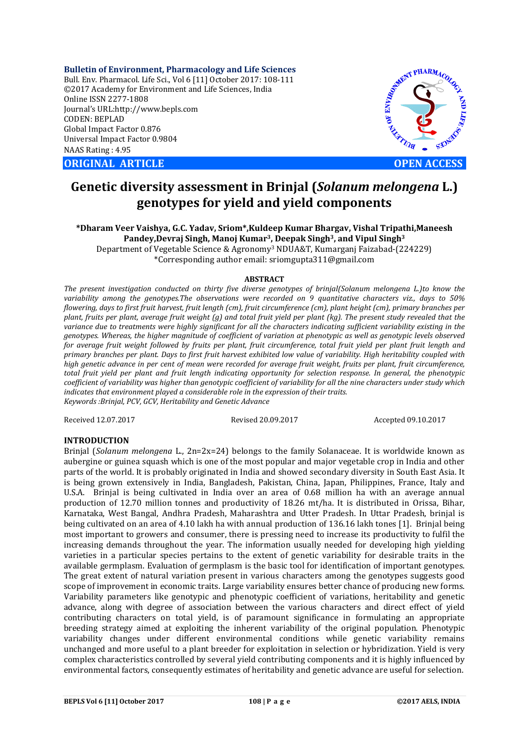**Bulletin of Environment, Pharmacology and Life Sciences** Bull. Env. Pharmacol. Life Sci., Vol 6 [11] October 2017: 108-111 ©2017 Academy for Environment and Life Sciences, India Online ISSN 2277-1808 Journal's URL:http://www.bepls.com CODEN: BEPLAD Global Impact Factor 0.876 Universal Impact Factor 0.9804 NAAS Rating : 4.95

**ORIGINAL ARTICLE OPEN ACCESS** 



# **Genetic diversity assessment in Brinjal (***Solanum melongena* **L.) genotypes for yield and yield components**

**\*Dharam Veer Vaishya, G.C. Yadav, Sriom\*,Kuldeep Kumar Bhargav, Vishal Tripathi,Maneesh Pandey,Devraj Singh, Manoj Kumar3, Deepak Singh3, and Vipul Singh3** Department of Vegetable Science & Agronomy3 NDUA&T, Kumarganj Faizabad-(224229)

\*Corresponding author email: sriomgupta311@gmail.com

## **ABSTRACT**

*The present investigation conducted on thirty five diverse genotypes of brinjal(Solanum melongena L.)to know the variability among the genotypes.The observations were recorded on 9 quantitative characters viz., days to 50% flowering, days to first fruit harvest, fruit length (cm), fruit circumference (cm), plant height (cm), primary branches per plant, fruits per plant, average fruit weight (g) and total fruit yield per plant (kg). The present study revealed that the variance due to treatments were highly significant for all the characters indicating sufficient variability existing in the genotypes. Whereas, the higher magnitude of coefficient of variation at phenotypic as well as genotypic levels observed for average fruit weight followed by fruits per plant, fruit circumference, total fruit yield per plant fruit length and primary branches per plant. Days to first fruit harvest exhibited low value of variability. High heritability coupled with high genetic advance in per cent of mean were recorded for average fruit weight, fruits per plant, fruit circumference, total fruit yield per plant and fruit length indicating opportunity for selection response. In general, the phenotypic coefficient of variability was higher than genotypic coefficient of variability for all the nine characters under study which indicates that environment played a considerable role in the expression of their traits. Keywords :Brinjal, PCV, GCV, Heritability and Genetic Advance* 

Received 12.07.2017 Revised 20.09.2017 Accepted 09.10.2017

## **INTRODUCTION**

Brinjal (*Solanum melongena* L., 2n=2x=24) belongs to the family Solanaceae. It is worldwide known as aubergine or guinea squash which is one of the most popular and major vegetable crop in India and other parts of the world. It is probably originated in India and showed secondary diversity in South East Asia. It is being grown extensively in India, Bangladesh, Pakistan, China, Japan, Philippines, France, Italy and U.S.A. Brinjal is being cultivated in India over an area of 0.68 million ha with an average annual production of 12.70 million tonnes and productivity of 18.26 mt/ha. It is distributed in Orissa, Bihar, Karnataka, West Bangal, Andhra Pradesh, Maharashtra and Utter Pradesh. In Uttar Pradesh, brinjal is being cultivated on an area of 4.10 lakh ha with annual production of 136.16 lakh tones [1]. Brinjal being most important to growers and consumer, there is pressing need to increase its productivity to fulfil the increasing demands throughout the year. The information usually needed for developing high yielding varieties in a particular species pertains to the extent of genetic variability for desirable traits in the available germplasm. Evaluation of germplasm is the basic tool for identification of important genotypes. The great extent of natural variation present in various characters among the genotypes suggests good scope of improvement in economic traits. Large variability ensures better chance of producing new forms. Variability parameters like genotypic and phenotypic coefficient of variations, heritability and genetic advance, along with degree of association between the various characters and direct effect of yield contributing characters on total yield, is of paramount significance in formulating an appropriate breeding strategy aimed at exploiting the inherent variability of the original population. Phenotypic variability changes under different environmental conditions while genetic variability remains unchanged and more useful to a plant breeder for exploitation in selection or hybridization. Yield is very complex characteristics controlled by several yield contributing components and it is highly influenced by environmental factors, consequently estimates of heritability and genetic advance are useful for selection.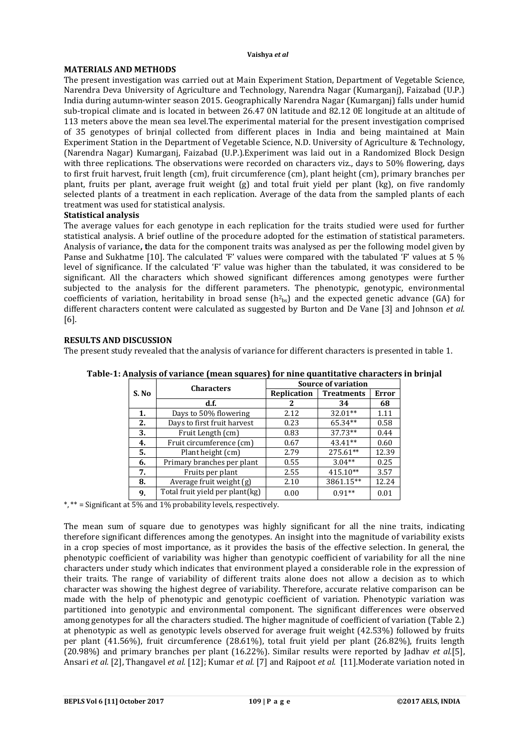## **Vaishya** *et al*

## **MATERIALS AND METHODS**

The present investigation was carried out at Main Experiment Station, Department of Vegetable Science, Narendra Deva University of Agriculture and Technology, Narendra Nagar (Kumarganj), Faizabad (U.P.) India during autumn-winter season 2015. Geographically Narendra Nagar (Kumarganj) falls under humid sub-tropical climate and is located in between 26.47 0N latitude and 82.12 0E longitude at an altitude of 113 meters above the mean sea level.The experimental material for the present investigation comprised of 35 genotypes of brinjal collected from different places in India and being maintained at Main Experiment Station in the Department of Vegetable Science, N.D. University of Agriculture & Technology, (Narendra Nagar) Kumarganj, Faizabad (U.P.).Experiment was laid out in a Randomized Block Design with three replications. The observations were recorded on characters viz., days to 50% flowering, days to first fruit harvest, fruit length (cm), fruit circumference (cm), plant height (cm), primary branches per plant, fruits per plant, average fruit weight (g) and total fruit yield per plant (kg), on five randomly selected plants of a treatment in each replication. Average of the data from the sampled plants of each treatment was used for statistical analysis.

# **Statistical analysis**

The average values for each genotype in each replication for the traits studied were used for further statistical analysis. A brief outline of the procedure adopted for the estimation of statistical parameters. Analysis of variance**, t**he data for the component traits was analysed as per the following model given by Panse and Sukhatme [10]. The calculated 'F' values were compared with the tabulated 'F' values at 5 % level of significance. If the calculated 'F' value was higher than the tabulated, it was considered to be significant. All the characters which showed significant differences among genotypes were further subjected to the analysis for the different parameters. The phenotypic, genotypic, environmental coefficients of variation, heritability in broad sense  $(h<sup>2</sup>)_{ps}$  and the expected genetic advance (GA) for different characters content were calculated as suggested by Burton and De Vane [3] and Johnson *et al.* [6].

# **RESULTS AND DISCUSSION**

The present study revealed that the analysis of variance for different characters is presented in table 1.

| S. No | <b>Characters</b>               | <b>Source of variation</b> |                   |              |  |  |
|-------|---------------------------------|----------------------------|-------------------|--------------|--|--|
|       |                                 | Replication                | <b>Treatments</b> | <b>Error</b> |  |  |
|       | d.f.                            | 2                          | 34                | 68           |  |  |
| 1.    | Days to 50% flowering           | 2.12                       | 32.01**           | 1.11         |  |  |
| 2.    | Days to first fruit harvest     | 0.23                       | 65.34**           | 0.58         |  |  |
| 3.    | Fruit Length (cm)               | 0.83                       | 37.73**           | 0.44         |  |  |
| 4.    | Fruit circumference (cm)        | 0.67                       | $43.41**$         | 0.60         |  |  |
| 5.    | Plant height (cm)               | 2.79                       | 275.61**          | 12.39        |  |  |
| 6.    | Primary branches per plant      | 0.55                       | $3.04**$          | 0.25         |  |  |
| 7.    | Fruits per plant                | 2.55                       | $415.10**$        | 3.57         |  |  |
| 8.    | Average fruit weight (g)        | 2.10                       | 3861.15**         | 12.24        |  |  |
| 9.    | Total fruit yield per plant(kg) | 0.00                       | $0.91**$          | 0.01         |  |  |

**Table-1: Analysis of variance (mean squares) for nine quantitative characters in brinjal**

\*, \*\* = Significant at 5% and 1% probability levels, respectively.

The mean sum of square due to genotypes was highly significant for all the nine traits, indicating therefore significant differences among the genotypes. An insight into the magnitude of variability exists in a crop species of most importance, as it provides the basis of the effective selection. In general, the phenotypic coefficient of variability was higher than genotypic coefficient of variability for all the nine characters under study which indicates that environment played a considerable role in the expression of their traits. The range of variability of different traits alone does not allow a decision as to which character was showing the highest degree of variability. Therefore, accurate relative comparison can be made with the help of phenotypic and genotypic coefficient of variation. Phenotypic variation was partitioned into genotypic and environmental component. The significant differences were observed among genotypes for all the characters studied. The higher magnitude of coefficient of variation (Table 2.) at phenotypic as well as genotypic levels observed for average fruit weight (42.53%) followed by fruits per plant (41.56%), fruit circumference (28.61%), total fruit yield per plant (26.82%), fruits length (20.98%) and primary branches per plant (16.22%). Similar results were reported by Jadhav *et al.*[5], Ansari *et al.* [2], Thangavel *et al.* [12]; Kumar *et al.* [7] and Rajpoot *et al.* [11].Moderate variation noted in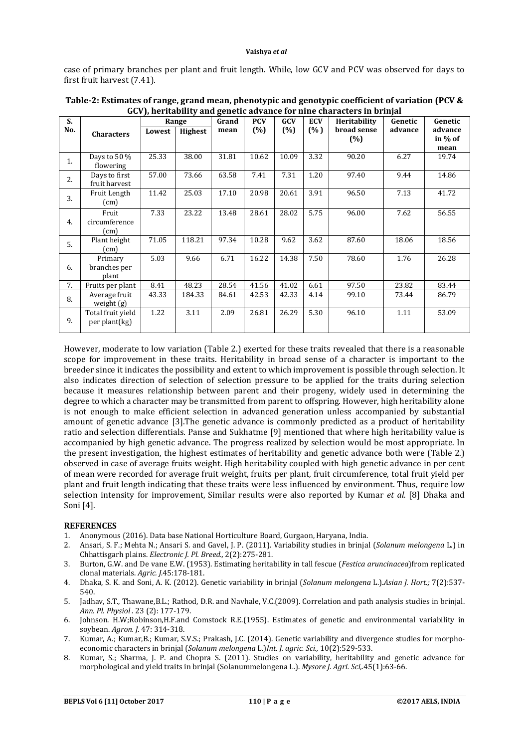#### **Vaishya** *et al*

case of primary branches per plant and fruit length. While, low GCV and PCV was observed for days to first fruit harvest (7.41).

| S.  |                                         | Range  |         | Grand | <b>PCV</b> | GCV   | <b>ECV</b> | <b>Heritability</b> | Genetic | Genetic                    |
|-----|-----------------------------------------|--------|---------|-------|------------|-------|------------|---------------------|---------|----------------------------|
| No. | <b>Characters</b>                       | Lowest | Highest | mean  | (%)        | (%)   | (% )       | broad sense<br>(%)  | advance | advance<br>in % of<br>mean |
| 1.  | Days to 50 %<br>flowering               | 25.33  | 38.00   | 31.81 | 10.62      | 10.09 | 3.32       | 90.20               | 6.27    | 19.74                      |
| 2.  | Days to first<br>fruit harvest          | 57.00  | 73.66   | 63.58 | 7.41       | 7.31  | 1.20       | 97.40               | 9.44    | 14.86                      |
| 3.  | Fruit Length<br>(cm)                    | 11.42  | 25.03   | 17.10 | 20.98      | 20.61 | 3.91       | 96.50               | 7.13    | 41.72                      |
| 4.  | Fruit<br>circumference<br>$\text{(cm)}$ | 7.33   | 23.22   | 13.48 | 28.61      | 28.02 | 5.75       | 96.00               | 7.62    | 56.55                      |
| 5.  | Plant height<br>(cm)                    | 71.05  | 118.21  | 97.34 | 10.28      | 9.62  | 3.62       | 87.60               | 18.06   | 18.56                      |
| 6.  | Primary<br>branches per<br>plant        | 5.03   | 9.66    | 6.71  | 16.22      | 14.38 | 7.50       | 78.60               | 1.76    | 26.28                      |
| 7.  | Fruits per plant                        | 8.41   | 48.23   | 28.54 | 41.56      | 41.02 | 6.61       | 97.50               | 23.82   | 83.44                      |
| 8.  | Average fruit<br>weight (g)             | 43.33  | 184.33  | 84.61 | 42.53      | 42.33 | 4.14       | 99.10               | 73.44   | 86.79                      |
| 9.  | Total fruit yield<br>per plant(kg)      | 1.22   | 3.11    | 2.09  | 26.81      | 26.29 | 5.30       | 96.10               | 1.11    | 53.09                      |

**Table-2: Estimates of range, grand mean, phenotypic and genotypic coefficient of variation (PCV & GCV), heritability and genetic advance for nine characters in brinjal**

However, moderate to low variation (Table 2.) exerted for these traits revealed that there is a reasonable scope for improvement in these traits. Heritability in broad sense of a character is important to the breeder since it indicates the possibility and extent to which improvement is possible through selection. It also indicates direction of selection of selection pressure to be applied for the traits during selection because it measures relationship between parent and their progeny, widely used in determining the degree to which a character may be transmitted from parent to offspring. However, high heritability alone is not enough to make efficient selection in advanced generation unless accompanied by substantial amount of genetic advance [3].The genetic advance is commonly predicted as a product of heritability ratio and selection differentials. Panse and Sukhatme [9] mentioned that where high heritability value is accompanied by high genetic advance. The progress realized by selection would be most appropriate. In the present investigation, the highest estimates of heritability and genetic advance both were (Table 2.) observed in case of average fruits weight. High heritability coupled with high genetic advance in per cent of mean were recorded for average fruit weight, fruits per plant, fruit circumference, total fruit yield per plant and fruit length indicating that these traits were less influenced by environment. Thus, require low selection intensity for improvement, Similar results were also reported by Kumar *et al.* [8] Dhaka and Soni [4].

## **REFERENCES**

- 1. Anonymous (2016). Data base National Horticulture Board, Gurgaon, Haryana, India.
- 2. Ansari, S. F.; Mehta N.; Ansari S. and Gavel, J. P. (2011). Variability studies in brinjal (*Solanum melongena* L.) in Chhattisgarh plains. *Electronic J. Pl. Breed.,* 2(2):275-281.
- 3. Burton, G.W. and De vane E.W. (1953). Estimating heritability in tall fescue (*Festica aruncinacea*)from replicated clonal materials. *Agric. J.*45:178-181.
- 4. Dhaka, S. K. and Soni, A. K. (2012). Genetic variability in brinjal (*Solanum melongena* L.).*Asian J. Hort.;* 7(2):537- 540.
- 5. Jadhav, S.T., Thawane,B.L.; Rathod, D.R. and Navhale, V.C.(2009). Correlation and path analysis studies in brinjal. *Ann. Pl. Physiol* . 23 (2): 177-179.
- 6. Johnson. H.W;Robinson,H.F.and Comstock R.E.(1955). Estimates of genetic and environmental variability in soybean. *Agron. J*. 47: 314-318.
- 7. Kumar, A.; Kumar,B.; Kumar, S.V.S.; Prakash, J.C. (2014). Genetic variability and divergence studies for morphoeconomic characters in brinjal (*Solanum melongena* L.)*Int. J. agric. Sci.,* 10(2):529-533.
- 8. Kumar, S.; Sharma, J. P. and Chopra S. (2011). Studies on variability, heritability and genetic advance for morphological and yield traits in brinjal (Solanummelongena L.). *Mysore J. Agri. Sci,.*45(1):63-66.